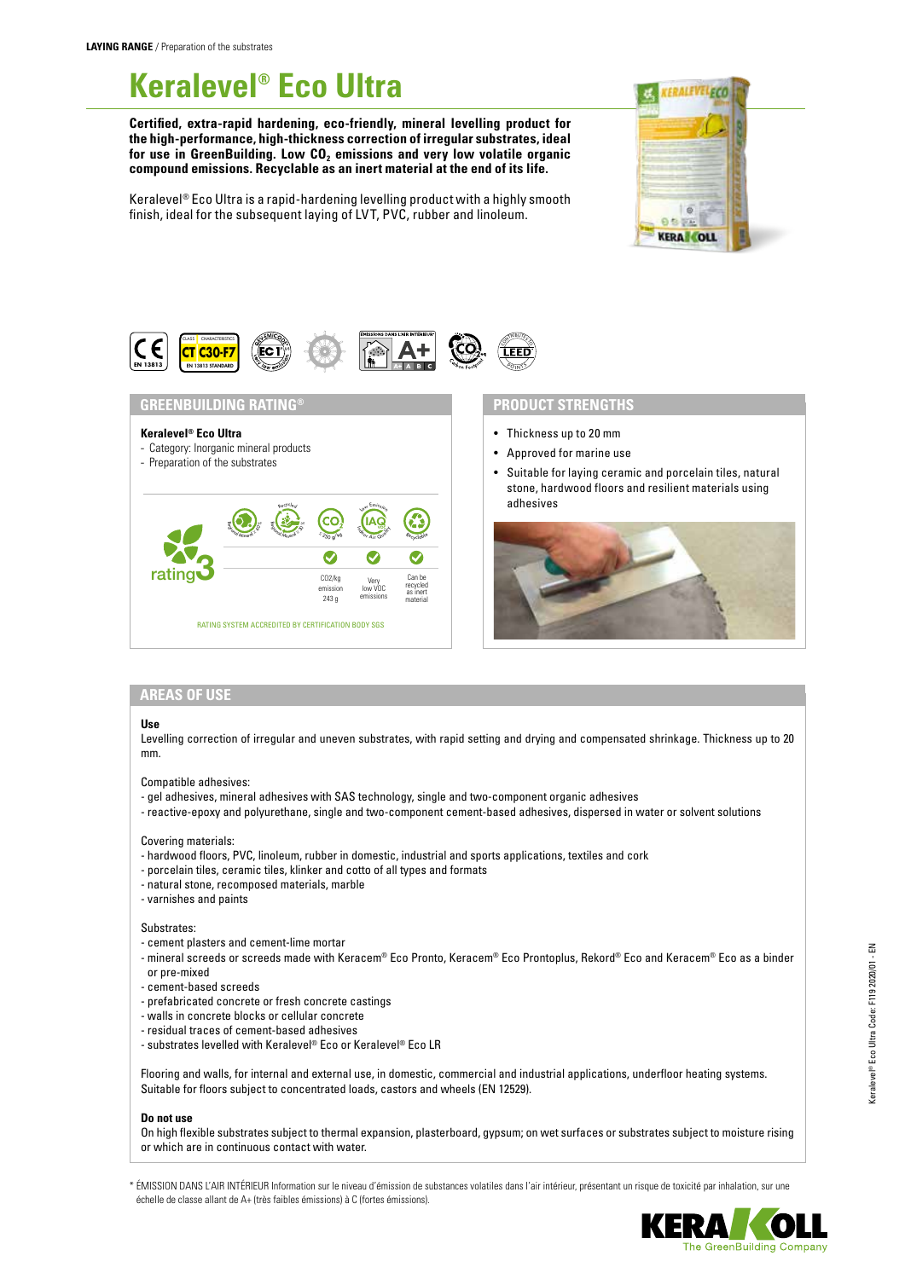# **Keralevel® Eco Ultra**

**Certified, extra-rapid hardening, eco-friendly, mineral levelling product for the high-performance, high-thickness correction of irregular substrates, ideal**  for use in GreenBuilding. Low CO<sub>2</sub> emissions and very low volatile organic **compound emissions. Recyclable as an inert material at the end of its life.**

Keralevel® Eco Ultra is a rapid-hardening levelling product with a highly smooth finish, ideal for the subsequent laying of LVT, PVC, rubber and linoleum.





## **GREENBUILDING RATING®**

## **Keralevel® Eco Ultra**

- Category: Inorganic mineral products

# - Preparation of the substrates



# **PRODUCT STRENGTHS**

- Thickness up to 20 mm
- Approved for marine use
- Suitable for laying ceramic and porcelain tiles, natural stone, hardwood floors and resilient materials using adhesives



## **AREAS OF USE**

#### **Use**

Levelling correction of irregular and uneven substrates, with rapid setting and drying and compensated shrinkage. Thickness up to 20 mm.

#### Compatible adhesives:

- gel adhesives, mineral adhesives with SAS technology, single and two-component organic adhesives
- reactive-epoxy and polyurethane, single and two-component cement-based adhesives, dispersed in water or solvent solutions

#### Covering materials:

- hardwood floors, PVC, linoleum, rubber in domestic, industrial and sports applications, textiles and cork
- porcelain tiles, ceramic tiles, klinker and cotto of all types and formats
- natural stone, recomposed materials, marble
- varnishes and paints

## Substrates:

- cement plasters and cement-lime mortar
- mineral screeds or screeds made with Keracem® Eco Pronto, Keracem® Eco Prontoplus, Rekord® Eco and Keracem® Eco as a binder or pre-mixed
- cement-based screeds
- prefabricated concrete or fresh concrete castings
- walls in concrete blocks or cellular concrete
- residual traces of cement-based adhesives
- substrates levelled with Keralevel® Eco or Keralevel® Eco LR

Flooring and walls, for internal and external use, in domestic, commercial and industrial applications, underfloor heating systems. Suitable for floors subject to concentrated loads, castors and wheels (EN 12529).

## **Do not use**

On high flexible substrates subject to thermal expansion, plasterboard, gypsum; on wet surfaces or substrates subject to moisture rising or which are in continuous contact with water.

\* ÉMISSION DANS L'AIR INTÉRIEUR Information sur le niveau d'émission de substances volatiles dans l'air intérieur, présentant un risque de toxicité par inhalation, sur une échelle de classe allant de A+ (très faibles émissions) à C (fortes émissions).

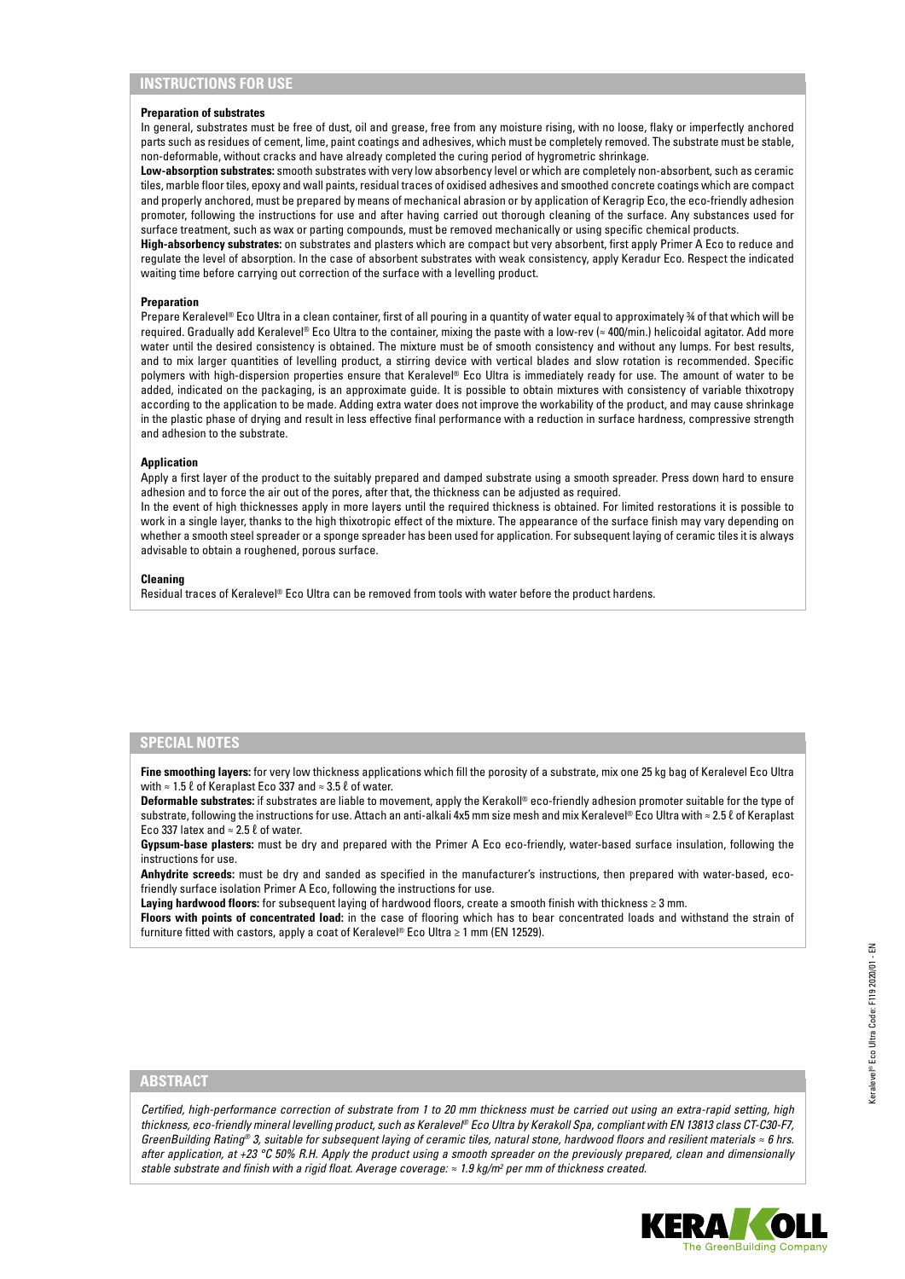# **INSTRUCTIONS FOR USE**

#### **Preparation of substrates**

In general, substrates must be free of dust, oil and grease, free from any moisture rising, with no loose, flaky or imperfectly anchored parts such as residues of cement, lime, paint coatings and adhesives, which must be completely removed. The substrate must be stable, non-deformable, without cracks and have already completed the curing period of hygrometric shrinkage.

**Low-absorption substrates:** smooth substrates with very low absorbency level or which are completely non-absorbent, such as ceramic tiles, marble floor tiles, epoxy and wall paints, residual traces of oxidised adhesives and smoothed concrete coatings which are compact and properly anchored, must be prepared by means of mechanical abrasion or by application of Keragrip Eco, the eco-friendly adhesion promoter, following the instructions for use and after having carried out thorough cleaning of the surface. Any substances used for surface treatment, such as wax or parting compounds, must be removed mechanically or using specific chemical products.

**High-absorbency substrates:** on substrates and plasters which are compact but very absorbent, first apply Primer A Eco to reduce and regulate the level of absorption. In the case of absorbent substrates with weak consistency, apply Keradur Eco. Respect the indicated waiting time before carrying out correction of the surface with a levelling product.

### **Preparation**

Prepare Keralevel® Eco Ultra in a clean container, first of all pouring in a quantity of water equal to approximately ¾ of that which will be required. Gradually add Keralevel® Eco Ultra to the container, mixing the paste with a low-rev (≈ 400/min.) helicoidal agitator. Add more water until the desired consistency is obtained. The mixture must be of smooth consistency and without any lumps. For best results, and to mix larger quantities of levelling product, a stirring device with vertical blades and slow rotation is recommended. Specific polymers with high-dispersion properties ensure that Keralevel® Eco Ultra is immediately ready for use. The amount of water to be added, indicated on the packaging, is an approximate guide. It is possible to obtain mixtures with consistency of variable thixotropy according to the application to be made. Adding extra water does not improve the workability of the product, and may cause shrinkage in the plastic phase of drying and result in less effective final performance with a reduction in surface hardness, compressive strength and adhesion to the substrate.

#### **Application**

Apply a first layer of the product to the suitably prepared and damped substrate using a smooth spreader. Press down hard to ensure adhesion and to force the air out of the pores, after that, the thickness can be adjusted as required.

In the event of high thicknesses apply in more layers until the required thickness is obtained. For limited restorations it is possible to work in a single layer, thanks to the high thixotropic effect of the mixture. The appearance of the surface finish may vary depending on whether a smooth steel spreader or a sponge spreader has been used for application. For subsequent laying of ceramic tiles it is always advisable to obtain a roughened, porous surface.

#### **Cleaning**

Residual traces of Keralevel® Eco Ultra can be removed from tools with water before the product hardens.

## **SPECIAL NOTES**

**Fine smoothing layers:** for very low thickness applications which fill the porosity of a substrate, mix one 25 kg bag of Keralevel Eco Ultra with ≈ 1.5 ℓ of Keraplast Eco 337 and ≈ 3.5 ℓ of water.

**Deformable substrates:** if substrates are liable to movement, apply the Kerakoll® eco-friendly adhesion promoter suitable for the type of substrate, following the instructions for use. Attach an anti-alkali 4x5 mm size mesh and mix Keralevel® Eco Ultra with ≈ 2.5 ℓ of Keraplast Eco 337 latex and  $\approx 2.5 \ell$  of water.

**Gypsum-base plasters:** must be dry and prepared with the Primer A Eco eco-friendly, water-based surface insulation, following the instructions for use.

**Anhydrite screeds:** must be dry and sanded as specified in the manufacturer's instructions, then prepared with water-based, ecofriendly surface isolation Primer A Eco, following the instructions for use.

**Laying hardwood floors:** for subsequent laying of hardwood floors, create a smooth finish with thickness ≥ 3 mm.

**Floors with points of concentrated load:** in the case of flooring which has to bear concentrated loads and withstand the strain of furniture fitted with castors, apply a coat of Keralevel® Eco Ultra ≥ 1 mm (EN 12529).

# **ABSTRACT**

*Certified, high-performance correction of substrate from 1 to 20 mm thickness must be carried out using an extra-rapid setting, high thickness, eco-friendly mineral levelling product, such as Keralevel® Eco Ultra by Kerakoll Spa, compliant with EN 13813 class CT-C30-F7, GreenBuilding Rating® 3, suitable for subsequent laying of ceramic tiles, natural stone, hardwood floors and resilient materials ≈ 6 hrs. after application, at +23 °C 50% R.H. Apply the product using a smooth spreader on the previously prepared, clean and dimensionally stable substrate and finish with a rigid float. Average coverage: ≈ 1.9 kg/m2 per mm of thickness created.*